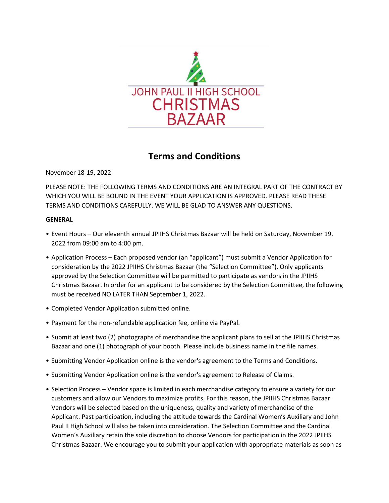

# **Terms and Conditions**

November 18-19, 2022

PLEASE NOTE: THE FOLLOWING TERMS AND CONDITIONS ARE AN INTEGRAL PART OF THE CONTRACT BY WHICH YOU WILL BE BOUND IN THE EVENT YOUR APPLICATION IS APPROVED. PLEASE READ THESE TERMS AND CONDITIONS CAREFULLY. WE WILL BE GLAD TO ANSWER ANY QUESTIONS.

## **GENERAL**

- Event Hours Our eleventh annual JPIIHS Christmas Bazaar will be held on Saturday, November 19, 2022 from 09:00 am to 4:00 pm.
- Application Process Each proposed vendor (an "applicant") must submit a Vendor Application for consideration by the 2022 JPIIHS Christmas Bazaar (the "Selection Committee"). Only applicants approved by the Selection Committee will be permitted to participate as vendors in the JPIIHS Christmas Bazaar. In order for an applicant to be considered by the Selection Committee, the following must be received NO LATER THAN September 1, 2022.
- Completed Vendor Application submitted online.
- Payment for the non-refundable application fee, online via PayPal.
- Submit at least two (2) photographs of merchandise the applicant plans to sell at the JPIIHS Christmas Bazaar and one (1) photograph of your booth. Please include business name in the file names.
- Submitting Vendor Application online is the vendor's agreement to the Terms and Conditions.
- Submitting Vendor Application online is the vendor's agreement to Release of Claims.
- Selection Process Vendor space is limited in each merchandise category to ensure a variety for our customers and allow our Vendors to maximize profits. For this reason, the JPIIHS Christmas Bazaar Vendors will be selected based on the uniqueness, quality and variety of merchandise of the Applicant. Past participation, including the attitude towards the Cardinal Women's Auxiliary and John Paul II High School will also be taken into consideration. The Selection Committee and the Cardinal Women's Auxiliary retain the sole discretion to choose Vendors for participation in the 2022 JPIIHS Christmas Bazaar. We encourage you to submit your application with appropriate materials as soon as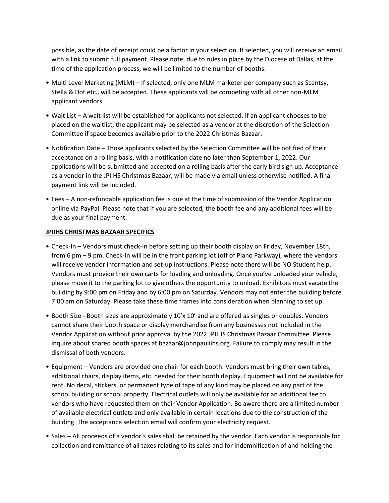possible, as the date of receipt could be a factor in your selection. If selected, you will receive an email with a link to submit full payment. Please note, due to rules in place by the Diocese of Dallas, at the time of the application process, we will be limited to the number of booths.

- Multi Level Marketing (MLM) If selected, only one MLM marketer per company such as Scentsy, Stella & Dot etc., will be accepted. These applicants will be competing with all other non-MLM applicant vendors.
- Wait List A wait list will be established for applicants not selected. If an applicant chooses to be placed on the waitlist, the applicant may be selected as a vendor at the discretion of the Selection Committee if space becomes available prior to the 2022 Christmas Bazaar.
- Notification Date Those applicants selected by the Selection Committee will be notified of their acceptance on a rolling basis, with a notification date no later than September 1, 2022. Our applications will be submitted and accepted on a rolling basis after the early bird sign up. Acceptance as a vendor in the JPIIHS Christmas Bazaar, will be made via email unless otherwise notified. A final payment link will be included.
- Fees A non-refundable application fee is due at the time of submission of the Vendor Application online via PayPal. Please note that if you are selected, the booth fee and any additional fees will be due as your final payment.

## **JPIIHS CHRISTMAS BAZAAR SPECIFICS**

- Check-In Vendors must check-in before setting up their booth display on Friday, November 18th, from 6 pm – 9 pm. Check-In will be in the front parking lot (off of Plano Parkway), where the vendors will receive vendor information and set-up instructions. Please note there will be NO Student help. Vendors must provide their own carts for loading and unloading. Once you've unloaded your vehicle, please move it to the parking lot to give others the opportunity to unload. Exhibitors must vacate the building by 9:00 pm on Friday and by 6:00 pm on Saturday. Vendors may not enter the building before 7:00 am on Saturday. Please take these time frames into consideration when planning to set up.
- Booth Size Booth sizes are approximately 10'x 10' and are offered as singles or doubles. Vendors cannot share their booth space or display merchandise from any businesses not included in the Vendor Application without prior approval by the 2022 JPIIHS Christmas Bazaar Committee. Please inquire about shared booth spaces at bazaar@johnpauliihs.org. Failure to comply may result in the dismissal of both vendors.
- Equipment Vendors are provided one chair for each booth. Vendors must bring their own tables, additional chairs, display items, etc. needed for their booth display. Equipment will not be available for rent. No decal, stickers, or permanent type of tape of any kind may be placed on any part of the school building or school property. Electrical outlets will only be available for an additional fee to vendors who have requested them on their Vendor Application. Be aware there are a limited number of available electrical outlets and only available in certain locations due to the construction of the building. The acceptance selection email will confirm your electricity request.
- Sales All proceeds of a vendor's sales shall be retained by the vendor. Each vendor is responsible for collection and remittance of all taxes relating to its sales and for indemnification of and holding the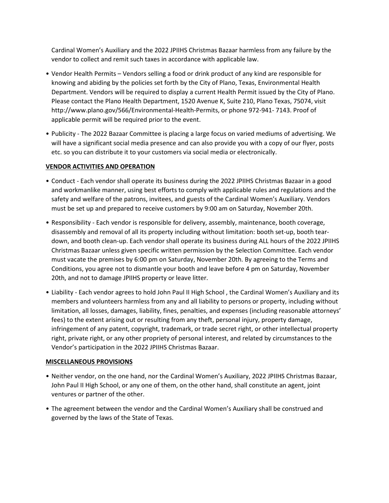Cardinal Women's Auxiliary and the 2022 JPIIHS Christmas Bazaar harmless from any failure by the vendor to collect and remit such taxes in accordance with applicable law.

- Vendor Health Permits Vendors selling a food or drink product of any kind are responsible for knowing and abiding by the policies set forth by the City of Plano, Texas, Environmental Health Department. Vendors will be required to display a current Health Permit issued by the City of Plano. Please contact the Plano Health Department, 1520 Avenue K, Suite 210, Plano Texas, 75074, visit http://www.plano.gov/566/Environmental-Health-Permits, or phone 972-941- 7143. Proof of applicable permit will be required prior to the event.
- Publicity The 2022 Bazaar Committee is placing a large focus on varied mediums of advertising. We will have a significant social media presence and can also provide you with a copy of our flyer, posts etc. so you can distribute it to your customers via social media or electronically.

## **VENDOR ACTIVITIES AND OPERATION**

- Conduct Each vendor shall operate its business during the 2022 JPIIHS Christmas Bazaar in a good and workmanlike manner, using best efforts to comply with applicable rules and regulations and the safety and welfare of the patrons, invitees, and guests of the Cardinal Women's Auxiliary. Vendors must be set up and prepared to receive customers by 9:00 am on Saturday, November 20th.
- Responsibility Each vendor is responsible for delivery, assembly, maintenance, booth coverage, disassembly and removal of all its property including without limitation: booth set-up, booth teardown, and booth clean-up. Each vendor shall operate its business during ALL hours of the 2022 JPIIHS Christmas Bazaar unless given specific written permission by the Selection Committee. Each vendor must vacate the premises by 6:00 pm on Saturday, November 20th. By agreeing to the Terms and Conditions, you agree not to dismantle your booth and leave before 4 pm on Saturday, November 20th, and not to damage JPIIHS property or leave litter.
- Liability Each vendor agrees to hold John Paul II High School , the Cardinal Women's Auxiliary and its members and volunteers harmless from any and all liability to persons or property, including without limitation, all losses, damages, liability, fines, penalties, and expenses (including reasonable attorneys' fees) to the extent arising out or resulting from any theft, personal injury, property damage, infringement of any patent, copyright, trademark, or trade secret right, or other intellectual property right, private right, or any other propriety of personal interest, and related by circumstances to the Vendor's participation in the 2022 JPIIHS Christmas Bazaar.

#### **MISCELLANEOUS PROVISIONS**

- Neither vendor, on the one hand, nor the Cardinal Women's Auxiliary, 2022 JPIIHS Christmas Bazaar, John Paul II High School, or any one of them, on the other hand, shall constitute an agent, joint ventures or partner of the other.
- The agreement between the vendor and the Cardinal Women's Auxiliary shall be construed and governed by the laws of the State of Texas.